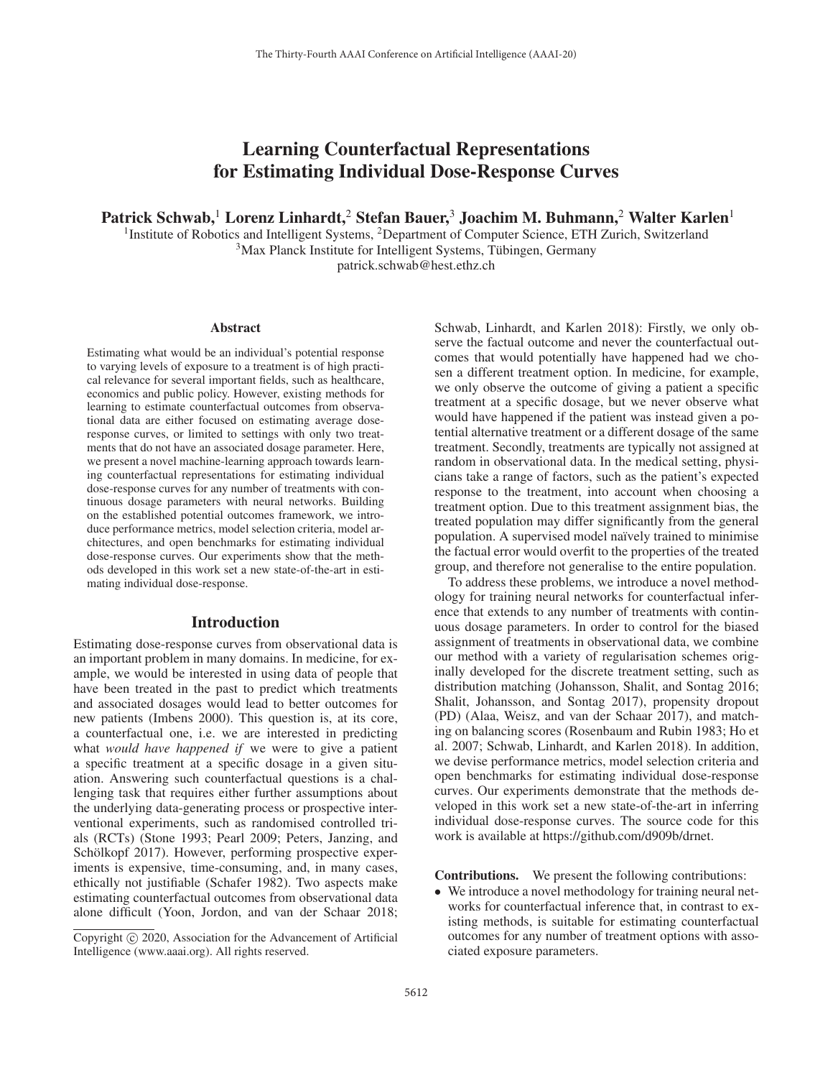# Learning Counterfactual Representations for Estimating Individual Dose-Response Curves

Patrick Schwab,<sup>1</sup> Lorenz Linhardt,<sup>2</sup> Stefan Bauer,<sup>3</sup> Joachim M. Buhmann,<sup>2</sup> Walter Karlen<sup>1</sup>

<sup>1</sup>Institute of Robotics and Intelligent Systems, <sup>2</sup>Department of Computer Science, ETH Zurich, Switzerland  $3$ Max Planck Institute for Intelligent Systems, Tübingen, Germany

patrick.schwab@hest.ethz.ch

#### Abstract

Estimating what would be an individual's potential response to varying levels of exposure to a treatment is of high practical relevance for several important fields, such as healthcare, economics and public policy. However, existing methods for learning to estimate counterfactual outcomes from observational data are either focused on estimating average doseresponse curves, or limited to settings with only two treatments that do not have an associated dosage parameter. Here, we present a novel machine-learning approach towards learning counterfactual representations for estimating individual dose-response curves for any number of treatments with continuous dosage parameters with neural networks. Building on the established potential outcomes framework, we introduce performance metrics, model selection criteria, model architectures, and open benchmarks for estimating individual dose-response curves. Our experiments show that the methods developed in this work set a new state-of-the-art in estimating individual dose-response.

### Introduction

Estimating dose-response curves from observational data is an important problem in many domains. In medicine, for example, we would be interested in using data of people that have been treated in the past to predict which treatments and associated dosages would lead to better outcomes for new patients (Imbens 2000). This question is, at its core, a counterfactual one, i.e. we are interested in predicting what *would have happened if* we were to give a patient a specific treatment at a specific dosage in a given situation. Answering such counterfactual questions is a challenging task that requires either further assumptions about the underlying data-generating process or prospective interventional experiments, such as randomised controlled trials (RCTs) (Stone 1993; Pearl 2009; Peters, Janzing, and Schölkopf 2017). However, performing prospective experiments is expensive, time-consuming, and, in many cases, ethically not justifiable (Schafer 1982). Two aspects make estimating counterfactual outcomes from observational data alone difficult (Yoon, Jordon, and van der Schaar 2018;

Schwab, Linhardt, and Karlen 2018): Firstly, we only observe the factual outcome and never the counterfactual outcomes that would potentially have happened had we chosen a different treatment option. In medicine, for example, we only observe the outcome of giving a patient a specific treatment at a specific dosage, but we never observe what would have happened if the patient was instead given a potential alternative treatment or a different dosage of the same treatment. Secondly, treatments are typically not assigned at random in observational data. In the medical setting, physicians take a range of factors, such as the patient's expected response to the treatment, into account when choosing a treatment option. Due to this treatment assignment bias, the treated population may differ significantly from the general population. A supervised model naïvely trained to minimise the factual error would overfit to the properties of the treated group, and therefore not generalise to the entire population.

To address these problems, we introduce a novel methodology for training neural networks for counterfactual inference that extends to any number of treatments with continuous dosage parameters. In order to control for the biased assignment of treatments in observational data, we combine our method with a variety of regularisation schemes originally developed for the discrete treatment setting, such as distribution matching (Johansson, Shalit, and Sontag 2016; Shalit, Johansson, and Sontag 2017), propensity dropout (PD) (Alaa, Weisz, and van der Schaar 2017), and matching on balancing scores (Rosenbaum and Rubin 1983; Ho et al. 2007; Schwab, Linhardt, and Karlen 2018). In addition, we devise performance metrics, model selection criteria and open benchmarks for estimating individual dose-response curves. Our experiments demonstrate that the methods developed in this work set a new state-of-the-art in inferring individual dose-response curves. The source code for this work is available at https://github.com/d909b/drnet.

Contributions. We present the following contributions:

• We introduce a novel methodology for training neural networks for counterfactual inference that, in contrast to existing methods, is suitable for estimating counterfactual outcomes for any number of treatment options with associated exposure parameters.

Copyright  $\odot$  2020, Association for the Advancement of Artificial Intelligence (www.aaai.org). All rights reserved.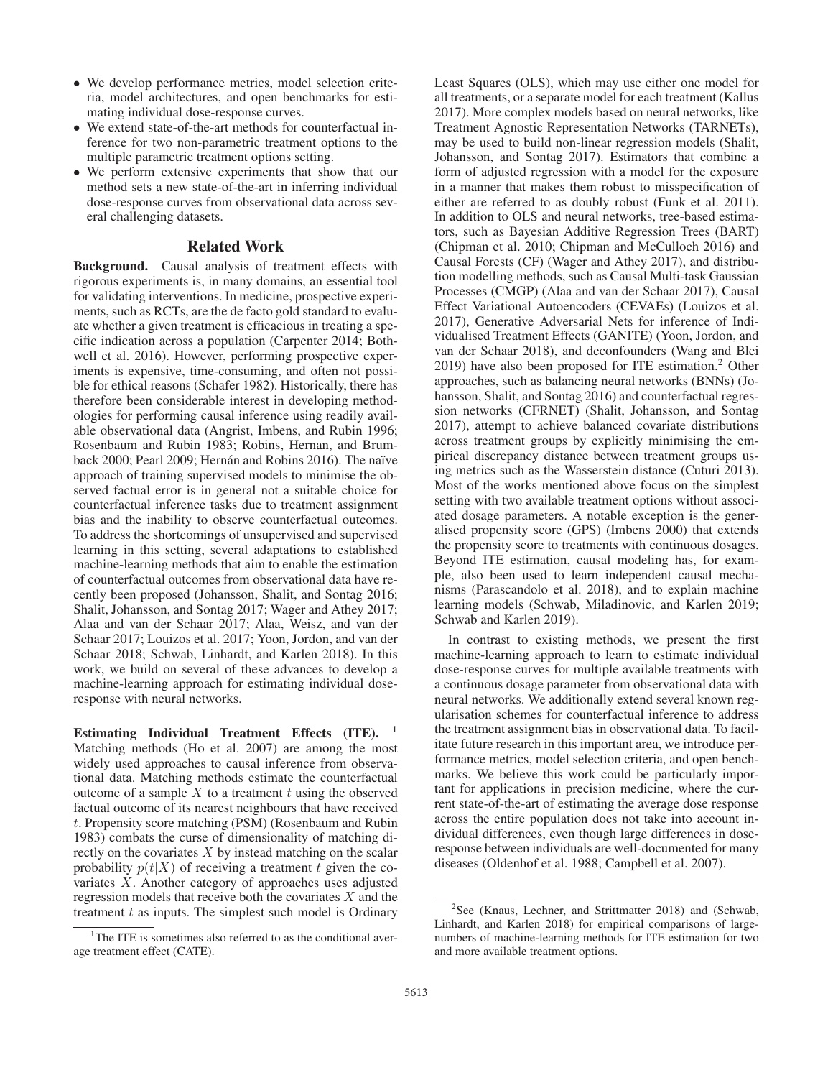- We develop performance metrics, model selection criteria, model architectures, and open benchmarks for estimating individual dose-response curves.
- We extend state-of-the-art methods for counterfactual inference for two non-parametric treatment options to the multiple parametric treatment options setting.
- We perform extensive experiments that show that our method sets a new state-of-the-art in inferring individual dose-response curves from observational data across several challenging datasets.

## Related Work

Background. Causal analysis of treatment effects with rigorous experiments is, in many domains, an essential tool for validating interventions. In medicine, prospective experiments, such as RCTs, are the de facto gold standard to evaluate whether a given treatment is efficacious in treating a specific indication across a population (Carpenter 2014; Bothwell et al. 2016). However, performing prospective experiments is expensive, time-consuming, and often not possible for ethical reasons (Schafer 1982). Historically, there has therefore been considerable interest in developing methodologies for performing causal inference using readily available observational data (Angrist, Imbens, and Rubin 1996; Rosenbaum and Rubin 1983; Robins, Hernan, and Brumback 2000; Pearl 2009; Hernán and Robins 2016). The naïve approach of training supervised models to minimise the observed factual error is in general not a suitable choice for counterfactual inference tasks due to treatment assignment bias and the inability to observe counterfactual outcomes. To address the shortcomings of unsupervised and supervised learning in this setting, several adaptations to established machine-learning methods that aim to enable the estimation of counterfactual outcomes from observational data have recently been proposed (Johansson, Shalit, and Sontag 2016; Shalit, Johansson, and Sontag 2017; Wager and Athey 2017; Alaa and van der Schaar 2017; Alaa, Weisz, and van der Schaar 2017; Louizos et al. 2017; Yoon, Jordon, and van der Schaar 2018; Schwab, Linhardt, and Karlen 2018). In this work, we build on several of these advances to develop a machine-learning approach for estimating individual doseresponse with neural networks.

Estimating Individual Treatment Effects (ITE). <sup>1</sup> Matching methods (Ho et al. 2007) are among the most widely used approaches to causal inference from observational data. Matching methods estimate the counterfactual outcome of a sample  $X$  to a treatment  $t$  using the observed factual outcome of its nearest neighbours that have received t. Propensity score matching (PSM) (Rosenbaum and Rubin 1983) combats the curse of dimensionality of matching directly on the covariates  $X$  by instead matching on the scalar probability  $p(t|X)$  of receiving a treatment t given the covariates X. Another category of approaches uses adjusted regression models that receive both the covariates  $X$  and the treatment  $t$  as inputs. The simplest such model is Ordinary Least Squares (OLS), which may use either one model for all treatments, or a separate model for each treatment (Kallus 2017). More complex models based on neural networks, like Treatment Agnostic Representation Networks (TARNETs), may be used to build non-linear regression models (Shalit, Johansson, and Sontag 2017). Estimators that combine a form of adjusted regression with a model for the exposure in a manner that makes them robust to misspecification of either are referred to as doubly robust (Funk et al. 2011). In addition to OLS and neural networks, tree-based estimators, such as Bayesian Additive Regression Trees (BART) (Chipman et al. 2010; Chipman and McCulloch 2016) and Causal Forests (CF) (Wager and Athey 2017), and distribution modelling methods, such as Causal Multi-task Gaussian Processes (CMGP) (Alaa and van der Schaar 2017), Causal Effect Variational Autoencoders (CEVAEs) (Louizos et al. 2017), Generative Adversarial Nets for inference of Individualised Treatment Effects (GANITE) (Yoon, Jordon, and van der Schaar 2018), and deconfounders (Wang and Blei 2019) have also been proposed for ITE estimation.2 Other approaches, such as balancing neural networks (BNNs) (Johansson, Shalit, and Sontag 2016) and counterfactual regression networks (CFRNET) (Shalit, Johansson, and Sontag 2017), attempt to achieve balanced covariate distributions across treatment groups by explicitly minimising the empirical discrepancy distance between treatment groups using metrics such as the Wasserstein distance (Cuturi 2013). Most of the works mentioned above focus on the simplest setting with two available treatment options without associated dosage parameters. A notable exception is the generalised propensity score (GPS) (Imbens 2000) that extends the propensity score to treatments with continuous dosages. Beyond ITE estimation, causal modeling has, for example, also been used to learn independent causal mechanisms (Parascandolo et al. 2018), and to explain machine learning models (Schwab, Miladinovic, and Karlen 2019; Schwab and Karlen 2019).

In contrast to existing methods, we present the first machine-learning approach to learn to estimate individual dose-response curves for multiple available treatments with a continuous dosage parameter from observational data with neural networks. We additionally extend several known regularisation schemes for counterfactual inference to address the treatment assignment bias in observational data. To facilitate future research in this important area, we introduce performance metrics, model selection criteria, and open benchmarks. We believe this work could be particularly important for applications in precision medicine, where the current state-of-the-art of estimating the average dose response across the entire population does not take into account individual differences, even though large differences in doseresponse between individuals are well-documented for many diseases (Oldenhof et al. 1988; Campbell et al. 2007).

<sup>&</sup>lt;sup>1</sup>The ITE is sometimes also referred to as the conditional average treatment effect (CATE).

<sup>&</sup>lt;sup>2</sup>See (Knaus, Lechner, and Strittmatter 2018) and (Schwab, Linhardt, and Karlen 2018) for empirical comparisons of largenumbers of machine-learning methods for ITE estimation for two and more available treatment options.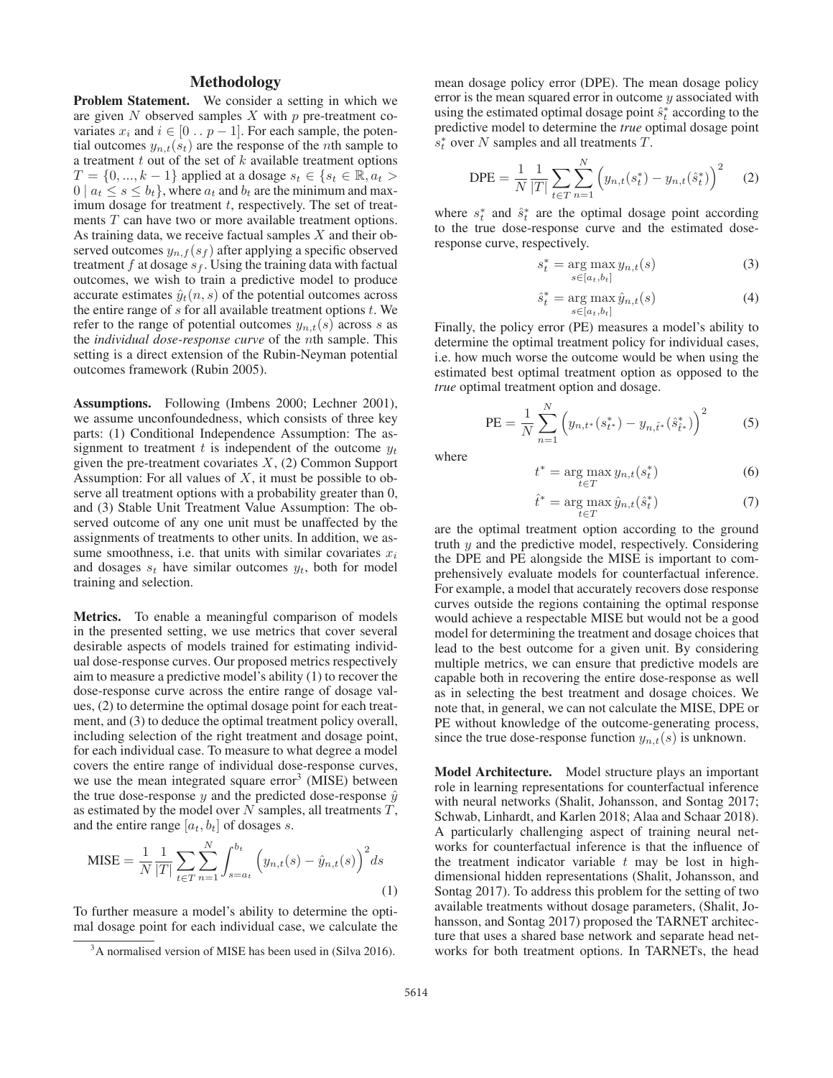## Methodology

Problem Statement. We consider a setting in which we are given  $N$  observed samples  $X$  with  $p$  pre-treatment covariates  $x_i$  and  $i \in [0 \tildot p - 1]$ . For each sample, the potential outcomes  $y_{n,t}(s_t)$  are the response of the *n*th sample to a treatment  $t$  out of the set of  $k$  available treatment options  $T = \{0, ..., k-1\}$  applied at a dosage  $s_t \in \{s_t \in \mathbb{R}, a_t >$  $0 \mid a_t \leq s \leq b_t$ , where  $a_t$  and  $b_t$  are the minimum and maximum dosage for treatment  $t$ , respectively. The set of treatments T can have two or more available treatment options. As training data, we receive factual samples  $X$  and their observed outcomes  $y_{n,f}(s_f)$  after applying a specific observed treatment  $f$  at dosage  $s_f$ . Using the training data with factual outcomes, we wish to train a predictive model to produce accurate estimates  $\hat{y}_t(n, s)$  of the potential outcomes across the entire range of  $s$  for all available treatment options  $t$ . We refer to the range of potential outcomes  $y_{n,t}(s)$  across s as the *individual dose-response curve* of the nth sample. This setting is a direct extension of the Rubin-Neyman potential outcomes framework (Rubin 2005).

Assumptions. Following (Imbens 2000; Lechner 2001), we assume unconfoundedness, which consists of three key parts: (1) Conditional Independence Assumption: The assignment to treatment t is independent of the outcome  $y_t$ given the pre-treatment covariates  $X$ , (2) Common Support Assumption: For all values of  $X$ , it must be possible to observe all treatment options with a probability greater than 0, and (3) Stable Unit Treatment Value Assumption: The observed outcome of any one unit must be unaffected by the assignments of treatments to other units. In addition, we assume smoothness, i.e. that units with similar covariates  $x_i$ and dosages  $s_t$  have similar outcomes  $y_t$ , both for model training and selection.

Metrics. To enable a meaningful comparison of models in the presented setting, we use metrics that cover several desirable aspects of models trained for estimating individual dose-response curves. Our proposed metrics respectively aim to measure a predictive model's ability (1) to recover the dose-response curve across the entire range of dosage values, (2) to determine the optimal dosage point for each treatment, and (3) to deduce the optimal treatment policy overall, including selection of the right treatment and dosage point, for each individual case. To measure to what degree a model covers the entire range of individual dose-response curves, we use the mean integrated square  $error<sup>3</sup>$  (MISE) between the true dose-response y and the predicted dose-response  $\hat{y}$ as estimated by the model over  $N$  samples, all treatments  $T$ , and the entire range  $[a_t, b_t]$  of dosages s.

$$
\text{MISE} = \frac{1}{N} \frac{1}{|T|} \sum_{t \in T} \sum_{n=1}^{N} \int_{s=a_t}^{b_t} \left( y_{n,t}(s) - \hat{y}_{n,t}(s) \right)^2 ds
$$
\n(1)

To further measure a model's ability to determine the optimal dosage point for each individual case, we calculate the mean dosage policy error (DPE). The mean dosage policy error is the mean squared error in outcome  $y$  associated with using the estimated optimal dosage point  $\hat{s}_t^*$  according to the predictive model to determine the *true* optimal dosage point predictive model to determine the *true* optimal dosage point  $s_t^*$  over N samples and all treatments T.

$$
DPE = \frac{1}{N} \frac{1}{|T|} \sum_{t \in T} \sum_{n=1}^{N} \left( y_{n,t}(s_t^*) - y_{n,t}(\hat{s}_t^*) \right)^2 \tag{2}
$$

where  $s_t^*$  and  $\hat{s}_t^*$  are the optimal dosage point according<br>to the true dose-response curve and the estimated doseto the true dose-response curve and the estimated doseresponse curve, respectively.

$$
s_t^* = \underset{s \in [a_t, b_t]}{\arg \max} \, y_{n,t}(s) \tag{3}
$$

$$
\hat{s}_t^* = \underset{s \in [a_t, b_t]}{\arg \max} \hat{y}_{n,t}(s) \tag{4}
$$

Finally, the policy error (PE) measures a model's ability to determine the optimal treatment policy for individual cases, i.e. how much worse the outcome would be when using the estimated best optimal treatment option as opposed to the *true* optimal treatment option and dosage.

PE = 
$$
\frac{1}{N} \sum_{n=1}^{N} \left( y_{n,t^*}(s_{t^*}^*) - y_{n,\hat{t}^*}(\hat{s}_{\hat{t}^*}^*) \right)^2
$$
 (5)

where

$$
t^* = \underset{t \in T}{\arg \max} \, y_{n,t}(s_t^*) \tag{6}
$$

$$
\hat{t}^* = \underset{t \in T}{\text{arg max}} \hat{y}_{n,t}(\hat{s}_t^*)
$$
\n<sup>(7)</sup>

are the optimal treatment option according to the ground truth  $y$  and the predictive model, respectively. Considering the DPE and PE alongside the MISE is important to comprehensively evaluate models for counterfactual inference. For example, a model that accurately recovers dose response curves outside the regions containing the optimal response would achieve a respectable MISE but would not be a good model for determining the treatment and dosage choices that lead to the best outcome for a given unit. By considering multiple metrics, we can ensure that predictive models are capable both in recovering the entire dose-response as well as in selecting the best treatment and dosage choices. We note that, in general, we can not calculate the MISE, DPE or PE without knowledge of the outcome-generating process, since the true dose-response function  $y_{n,t}(s)$  is unknown.

Model Architecture. Model structure plays an important role in learning representations for counterfactual inference with neural networks (Shalit, Johansson, and Sontag 2017; Schwab, Linhardt, and Karlen 2018; Alaa and Schaar 2018). A particularly challenging aspect of training neural networks for counterfactual inference is that the influence of the treatment indicator variable  $t$  may be lost in highdimensional hidden representations (Shalit, Johansson, and Sontag 2017). To address this problem for the setting of two available treatments without dosage parameters, (Shalit, Johansson, and Sontag 2017) proposed the TARNET architecture that uses a shared base network and separate head networks for both treatment options. In TARNETs, the head

<sup>&</sup>lt;sup>3</sup>A normalised version of MISE has been used in (Silva 2016).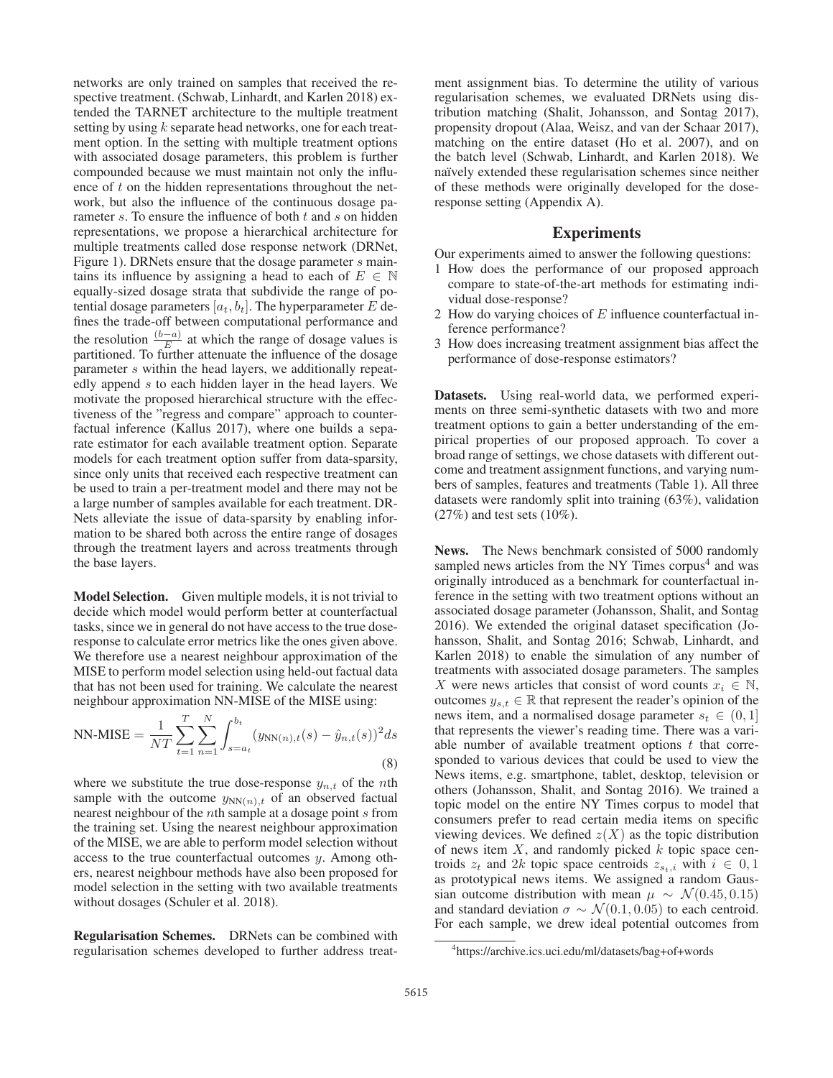networks are only trained on samples that received the respective treatment. (Schwab, Linhardt, and Karlen 2018) extended the TARNET architecture to the multiple treatment setting by using k separate head networks, one for each treatment option. In the setting with multiple treatment options with associated dosage parameters, this problem is further compounded because we must maintain not only the influence of t on the hidden representations throughout the network, but also the influence of the continuous dosage parameter  $s$ . To ensure the influence of both  $t$  and  $s$  on hidden representations, we propose a hierarchical architecture for multiple treatments called dose response network (DRNet, Figure 1). DRNets ensure that the dosage parameter s maintains its influence by assigning a head to each of  $E \in \mathbb{N}$ equally-sized dosage strata that subdivide the range of potential dosage parameters  $[a_t, b_t]$ . The hyperparameter E defines the trade-off between computational performance and the resolution  $\frac{(b-a)}{E}$  at which the range of dosage values is partitioned. To further attenuate the influence of the dosage parameter s within the head layers, we additionally repeatedly append s to each hidden layer in the head layers. We motivate the proposed hierarchical structure with the effectiveness of the "regress and compare" approach to counterfactual inference (Kallus 2017), where one builds a separate estimator for each available treatment option. Separate models for each treatment option suffer from data-sparsity, since only units that received each respective treatment can be used to train a per-treatment model and there may not be a large number of samples available for each treatment. DR-Nets alleviate the issue of data-sparsity by enabling information to be shared both across the entire range of dosages through the treatment layers and across treatments through the base layers.

Model Selection. Given multiple models, it is not trivial to decide which model would perform better at counterfactual tasks, since we in general do not have access to the true doseresponse to calculate error metrics like the ones given above. We therefore use a nearest neighbour approximation of the MISE to perform model selection using held-out factual data that has not been used for training. We calculate the nearest neighbour approximation NN-MISE of the MISE using:

NN-MISE = 
$$
\frac{1}{NT} \sum_{t=1}^{T} \sum_{n=1}^{N} \int_{s=a_t}^{b_t} (y_{NN(n),t}(s) - \hat{y}_{n,t}(s))^2 ds
$$
\n(8)

where we substitute the true dose-response  $y_{n,t}$  of the *n*th sample with the outcome  $y_{NN(n),t}$  of an observed factual nearest neighbour of the *n*th sample at a dosage point *s* from the training set. Using the nearest neighbour approximation of the MISE, we are able to perform model selection without access to the true counterfactual outcomes y. Among others, nearest neighbour methods have also been proposed for model selection in the setting with two available treatments without dosages (Schuler et al. 2018).

Regularisation Schemes. DRNets can be combined with regularisation schemes developed to further address treatment assignment bias. To determine the utility of various regularisation schemes, we evaluated DRNets using distribution matching (Shalit, Johansson, and Sontag 2017), propensity dropout (Alaa, Weisz, and van der Schaar 2017), matching on the entire dataset (Ho et al. 2007), and on the batch level (Schwab, Linhardt, and Karlen 2018). We naïvely extended these regularisation schemes since neither of these methods were originally developed for the doseresponse setting (Appendix A).

## Experiments

Our experiments aimed to answer the following questions:

- 1 How does the performance of our proposed approach compare to state-of-the-art methods for estimating individual dose-response?
- 2 How do varying choices of  $E$  influence counterfactual inference performance?
- 3 How does increasing treatment assignment bias affect the performance of dose-response estimators?

Datasets. Using real-world data, we performed experiments on three semi-synthetic datasets with two and more treatment options to gain a better understanding of the empirical properties of our proposed approach. To cover a broad range of settings, we chose datasets with different outcome and treatment assignment functions, and varying numbers of samples, features and treatments (Table 1). All three datasets were randomly split into training (63%), validation  $(27\%)$  and test sets  $(10\%).$ 

News. The News benchmark consisted of 5000 randomly sampled news articles from the NY Times corpus<sup>4</sup> and was originally introduced as a benchmark for counterfactual inference in the setting with two treatment options without an associated dosage parameter (Johansson, Shalit, and Sontag 2016). We extended the original dataset specification (Johansson, Shalit, and Sontag 2016; Schwab, Linhardt, and Karlen 2018) to enable the simulation of any number of treatments with associated dosage parameters. The samples X were news articles that consist of word counts  $x_i \in \mathbb{N}$ , outcomes  $y_{s,t} \in \mathbb{R}$  that represent the reader's opinion of the news item, and a normalised dosage parameter  $s_t \in (0, 1]$ that represents the viewer's reading time. There was a variable number of available treatment options  $t$  that corresponded to various devices that could be used to view the News items, e.g. smartphone, tablet, desktop, television or others (Johansson, Shalit, and Sontag 2016). We trained a topic model on the entire NY Times corpus to model that consumers prefer to read certain media items on specific viewing devices. We defined  $z(X)$  as the topic distribution of news item  $X$ , and randomly picked  $k$  topic space centroids  $z_t$  and 2k topic space centroids  $z_{s_t,i}$  with  $i \in [0,1]$ as prototypical news items. We assigned a random Gaussian outcome distribution with mean  $\mu \sim \mathcal{N}(0.45, 0.15)$ and standard deviation  $\sigma \sim \mathcal{N}(0.1, 0.05)$  to each centroid. For each sample, we drew ideal potential outcomes from

<sup>4</sup> https://archive.ics.uci.edu/ml/datasets/bag+of+words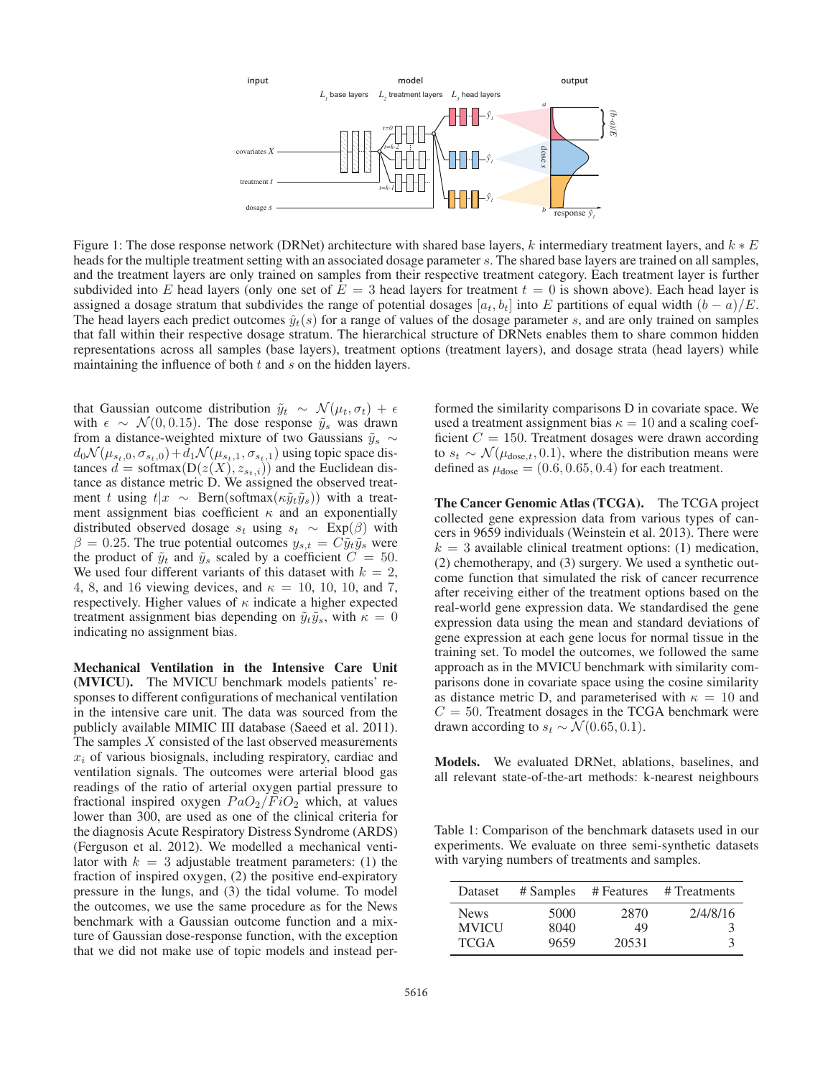

Figure 1: The dose response network (DRNet) architecture with shared base layers, k intermediary treatment layers, and  $k * E$ heads for the multiple treatment setting with an associated dosage parameter s. The shared base layers are trained on all samples, and the treatment layers are only trained on samples from their respective treatment category. Each treatment layer is further subdivided into E head layers (only one set of  $E = 3$  head layers for treatment  $t = 0$  is shown above). Each head layer is assigned a dosage stratum that subdivides the range of potential dosages  $[a_t, b_t]$  into E partitions of equal width  $(b - a)/E$ . The head layers each predict outcomes  $\hat{y}_t(s)$  for a range of values of the dosage parameter s, and are only trained on samples that fall within their respective dosage stratum. The hierarchical structure of DRNets enables them to share common hidden representations across all samples (base layers), treatment options (treatment layers), and dosage strata (head layers) while maintaining the influence of both  $t$  and  $s$  on the hidden layers.

that Gaussian outcome distribution  $\tilde{y}_t \sim \mathcal{N}(\mu_t, \sigma_t) + \epsilon$ with  $\epsilon \sim \mathcal{N}(0, 0.15)$ . The dose response  $\tilde{y}_s$  was drawn from a distance-weighted mixture of two Gaussians  $\tilde{y}_s \sim$  $d_0\mathcal{N}(\mu_{s_t,0}, \sigma_{s_t,0})+d_1\mathcal{N}(\mu_{s_t,1}, \sigma_{s_t,1})$  using topic space distances  $d = \text{softmax}(D(z(X), z_{s_t,i}))$  and the Euclidean distance as distance metric D. We assigned the observed treatment t using  $t|x \sim \text{Bern}(\text{softmax}(\kappa \tilde{y}_t \tilde{y}_s))$  with a treatment assignment bias coefficient  $\kappa$  and an exponentially distributed observed dosage  $s_t$  using  $s_t \sim \text{Exp}(\beta)$  with  $\beta = 0.25$ . The true potential outcomes  $y_{s,t} = C \tilde{y}_t \tilde{y}_s$  were the product of  $\tilde{y}_t$  and  $\tilde{y}_s$  scaled by a coefficient  $C = 50$ . We used four different variants of this dataset with  $k = 2$ , 4, 8, and 16 viewing devices, and  $\kappa = 10, 10, 10,$  and 7, respectively. Higher values of  $\kappa$  indicate a higher expected treatment assignment bias depending on  $\tilde{y}_t \tilde{y}_s$ , with  $\kappa = 0$ indicating no assignment bias.

Mechanical Ventilation in the Intensive Care Unit (MVICU). The MVICU benchmark models patients' responses to different configurations of mechanical ventilation in the intensive care unit. The data was sourced from the publicly available MIMIC III database (Saeed et al. 2011). The samples  $X$  consisted of the last observed measurements  $x_i$  of various biosignals, including respiratory, cardiac and ventilation signals. The outcomes were arterial blood gas readings of the ratio of arterial oxygen partial pressure to fractional inspired oxygen  $PaO<sub>2</sub>/FiO<sub>2</sub>$  which, at values lower than 300, are used as one of the clinical criteria for the diagnosis Acute Respiratory Distress Syndrome (ARDS) (Ferguson et al. 2012). We modelled a mechanical ventilator with  $k = 3$  adjustable treatment parameters: (1) the fraction of inspired oxygen, (2) the positive end-expiratory pressure in the lungs, and (3) the tidal volume. To model the outcomes, we use the same procedure as for the News benchmark with a Gaussian outcome function and a mixture of Gaussian dose-response function, with the exception that we did not make use of topic models and instead performed the similarity comparisons D in covariate space. We used a treatment assignment bias  $\kappa = 10$  and a scaling coef-<br>ficient  $C = 150$ . Treatment dosages were drawn according ficient  $C = 150$ . Treatment dosages were drawn according<br>to  $s_t \sim \mathcal{N}(t_{\text{down}} + 0.1)$  where the distribution means were to  $s_t \sim \mathcal{N}(\mu_{\text{dose},t}, 0.1)$ , where the distribution means were defined as  $\mu_{\text{dose}} = (0.6, 0.65, 0.4)$  for each treatment defined as  $\mu_{\text{dose}} = (0.6, 0.65, 0.4)$  for each treatment.

The Cancer Genomic Atlas (TCGA). The TCGA project collected gene expression data from various types of cancers in 9659 individuals (Weinstein et al. 2013). There were  $k = 3$  available clinical treatment options: (1) medication, (2) chemotherapy, and (3) surgery. We used a synthetic outcome function that simulated the risk of cancer recurrence after receiving either of the treatment options based on the real-world gene expression data. We standardised the gene expression data using the mean and standard deviations of gene expression at each gene locus for normal tissue in the training set. To model the outcomes, we followed the same approach as in the MVICU benchmark with similarity comparisons done in covariate space using the cosine similarity as distance metric D, and parameterised with  $\kappa = 10$  and  $C = 50$ . Treatment dosages in the TCGA benchmark were drawn according to  $s_t \sim \mathcal{N}(0.65, 0.1)$ .

Models. We evaluated DRNet, ablations, baselines, and all relevant state-of-the-art methods: k-nearest neighbours

Table 1: Comparison of the benchmark datasets used in our experiments. We evaluate on three semi-synthetic datasets with varying numbers of treatments and samples.

| Dataset      |      |       | # Samples # Features # Treatments |
|--------------|------|-------|-----------------------------------|
| <b>News</b>  | 5000 | 2870  | 2/4/8/16                          |
| <b>MVICU</b> | 8040 | 49    | $\mathcal{F}$                     |
| <b>TCGA</b>  | 9659 | 20531 | 3                                 |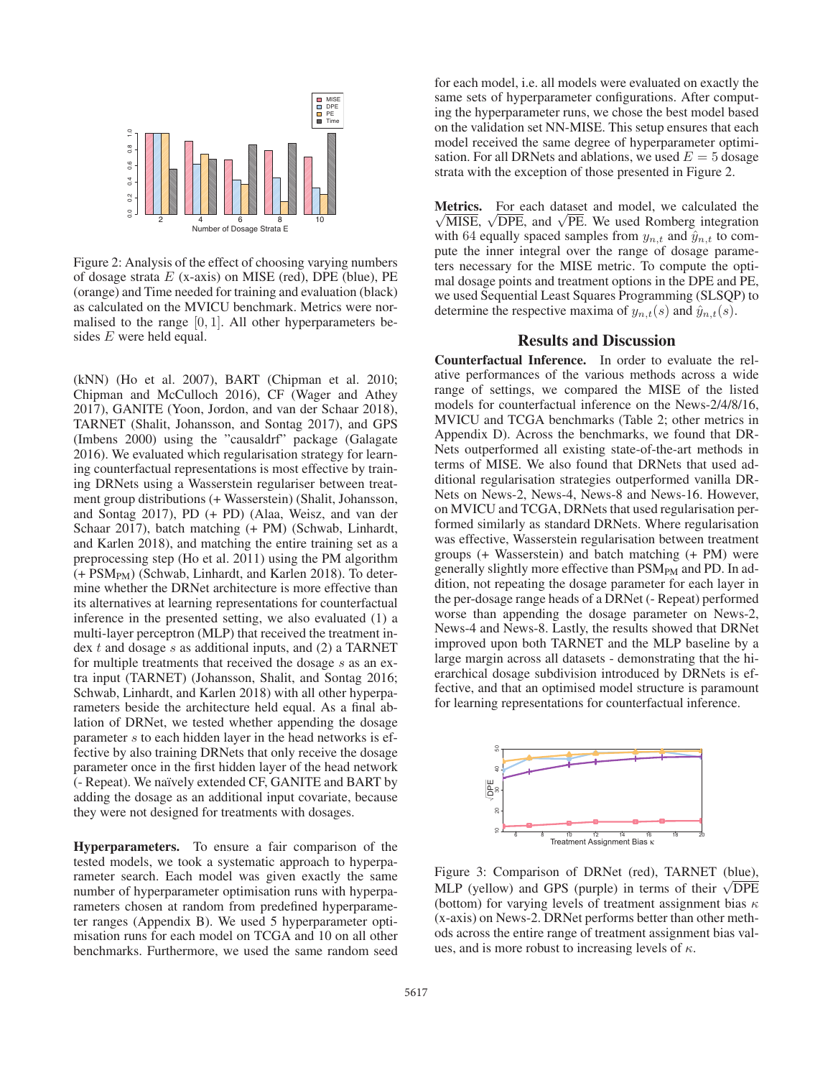

Figure 2: Analysis of the effect of choosing varying numbers of dosage strata  $E$  (x-axis) on MISE (red), DPE (blue), PE (orange) and Time needed for training and evaluation (black) as calculated on the MVICU benchmark. Metrics were normalised to the range  $[0, 1]$ . All other hyperparameters besides E were held equal.

(kNN) (Ho et al. 2007), BART (Chipman et al. 2010; Chipman and McCulloch 2016), CF (Wager and Athey 2017), GANITE (Yoon, Jordon, and van der Schaar 2018), TARNET (Shalit, Johansson, and Sontag 2017), and GPS (Imbens 2000) using the "causaldrf" package (Galagate 2016). We evaluated which regularisation strategy for learning counterfactual representations is most effective by training DRNets using a Wasserstein regulariser between treatment group distributions (+ Wasserstein) (Shalit, Johansson, and Sontag 2017), PD (+ PD) (Alaa, Weisz, and van der Schaar 2017), batch matching (+ PM) (Schwab, Linhardt, and Karlen 2018), and matching the entire training set as a preprocessing step (Ho et al. 2011) using the PM algorithm (+ PSMPM) (Schwab, Linhardt, and Karlen 2018). To determine whether the DRNet architecture is more effective than its alternatives at learning representations for counterfactual inference in the presented setting, we also evaluated (1) a multi-layer perceptron (MLP) that received the treatment index  $t$  and dosage  $s$  as additional inputs, and (2) a TARNET for multiple treatments that received the dosage s as an extra input (TARNET) (Johansson, Shalit, and Sontag 2016; Schwab, Linhardt, and Karlen 2018) with all other hyperparameters beside the architecture held equal. As a final ablation of DRNet, we tested whether appending the dosage parameter s to each hidden layer in the head networks is effective by also training DRNets that only receive the dosage parameter once in the first hidden layer of the head network (- Repeat). We na¨ıvely extended CF, GANITE and BART by adding the dosage as an additional input covariate, because they were not designed for treatments with dosages.

Hyperparameters. To ensure a fair comparison of the tested models, we took a systematic approach to hyperparameter search. Each model was given exactly the same number of hyperparameter optimisation runs with hyperparameters chosen at random from predefined hyperparameter ranges (Appendix B). We used 5 hyperparameter optimisation runs for each model on TCGA and 10 on all other benchmarks. Furthermore, we used the same random seed for each model, i.e. all models were evaluated on exactly the same sets of hyperparameter configurations. After computing the hyperparameter runs, we chose the best model based on the validation set NN-MISE. This setup ensures that each model received the same degree of hyperparameter optimisation. For all DRNets and ablations, we used  $E = 5$  dosage strata with the exception of those presented in Figure 2.

**Metrics.** For each dataset and model, we calculated the **etrics.** For each dataset and model, we calculated the MISE,  $\sqrt{\text{DPE}}$ , and  $\sqrt{\text{PE}}$ . We used Romberg integration with 64 equally spaced samples from  $y_{n,t}$  and  $\hat{y}_{n,t}$  to compute the inner integral over the range of dosage parameters necessary for the MISE metric. To compute the optimal dosage points and treatment options in the DPE and PE, we used Sequential Least Squares Programming (SLSQP) to determine the respective maxima of  $y_{n,t}(s)$  and  $\hat{y}_{n,t}(s)$ .

## Results and Discussion

Counterfactual Inference. In order to evaluate the relative performances of the various methods across a wide range of settings, we compared the MISE of the listed models for counterfactual inference on the News-2/4/8/16, MVICU and TCGA benchmarks (Table 2; other metrics in Appendix D). Across the benchmarks, we found that DR-Nets outperformed all existing state-of-the-art methods in terms of MISE. We also found that DRNets that used additional regularisation strategies outperformed vanilla DR-Nets on News-2, News-4, News-8 and News-16. However, on MVICU and TCGA, DRNets that used regularisation performed similarly as standard DRNets. Where regularisation was effective, Wasserstein regularisation between treatment groups (+ Wasserstein) and batch matching (+ PM) were generally slightly more effective than PSM<sub>PM</sub> and PD. In addition, not repeating the dosage parameter for each layer in the per-dosage range heads of a DRNet (- Repeat) performed worse than appending the dosage parameter on News-2, News-4 and News-8. Lastly, the results showed that DRNet improved upon both TARNET and the MLP baseline by a large margin across all datasets - demonstrating that the hierarchical dosage subdivision introduced by DRNets is effective, and that an optimised model structure is paramount for learning representations for counterfactual inference.



Figure 3: Comparison of DRNet (red), TARNET (blue), Figure 5: Comparison of DRINEL (red), TARNET (blue), MLP (yellow) and GPS (purple) in terms of their  $\sqrt{DPE}$ (bottom) for varying levels of treatment assignment bias  $\kappa$ (x-axis) on News-2. DRNet performs better than other methods across the entire range of treatment assignment bias values, and is more robust to increasing levels of  $\kappa$ .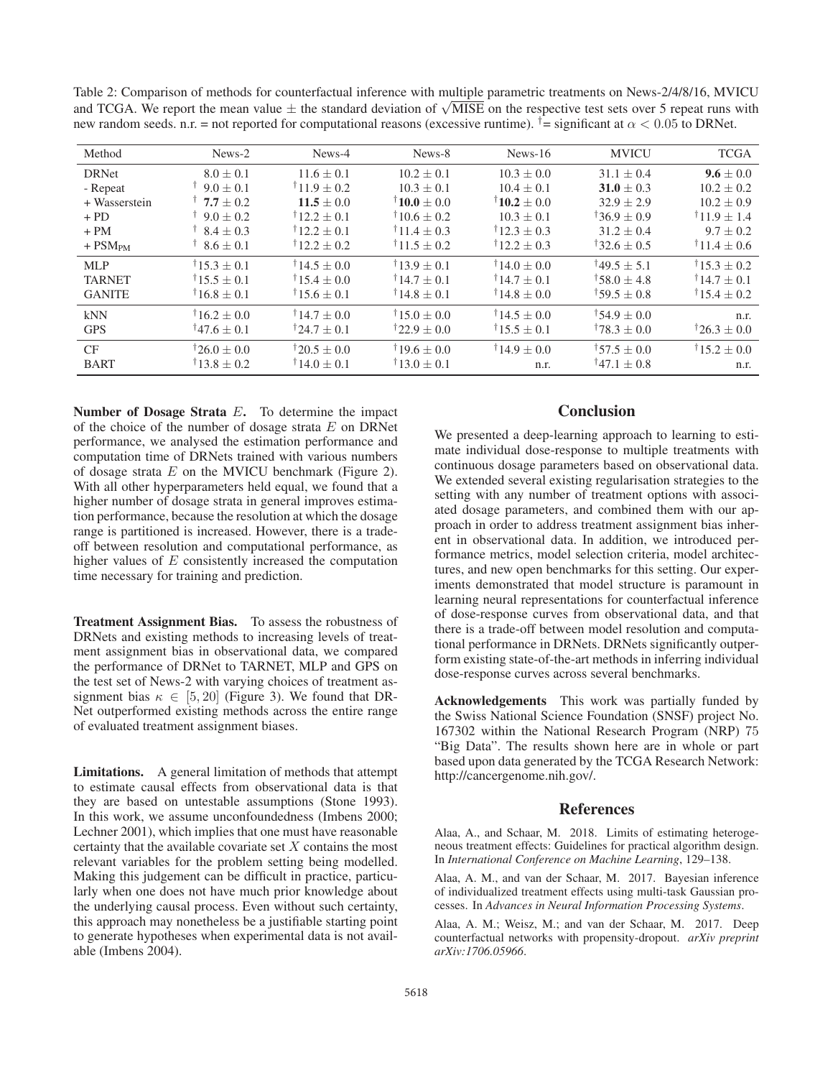Table 2: Comparison of methods for counterfactual inference with multiple parametric treatments on News-2/4/8/16, MVICU rable z: Comparison of methods for counterfactual interence with multiple parametric treatments on News-27476710, MVICU and TCGA. We report the mean value  $\pm$  the standard deviation of  $\sqrt{\text{MISE}}$  on the respective test s new random seeds. n.r. = not reported for computational reasons (excessive runtime).  $\dot{t}$  = significant at  $\alpha$  < 0.05 to DRNet.

| Method                | News-2                | News-4                | News-8                   | $News-16$            | <b>MVICU</b>            | <b>TCGA</b>              |
|-----------------------|-----------------------|-----------------------|--------------------------|----------------------|-------------------------|--------------------------|
| <b>DRNet</b>          | $8.0 + 0.1$           | $11.6 + 0.1$          | $10.2 + 0.1$             | $10.3 + 0.0$         | $31.1 + 0.4$            | $9.6 + 0.0$              |
| - Repeat              | $\uparrow$ 9.0 + 0.1  | $11.9 + 0.2$          | $10.3 + 0.1$             | $10.4 \pm 0.1$       | $31.0 + 0.3$            | $10.2 \pm 0.2$           |
| + Wasserstein         | $\uparrow$ 7.7 + 0.2  | $11.5 + 0.0$          | $\dagger$ 10.0 + 0.0     | $\dagger$ 10.2 + 0.0 | $32.9 \pm 2.9$          | $10.2 \pm 0.9$           |
| $+$ PD                | $\uparrow$ 9.0 + 0.2  | $12.2 + 0.1$          | $\pm 10.6 + 0.2$         | $10.3 + 0.1$         | $136.9 + 0.9$           | $\dagger$ 11.9 + 1.4     |
| $+ PM$                | $\uparrow$ 8.4 + 0.3  | $\uparrow$ 12.2 + 0.1 | $11.4 + 0.3$             | $\dagger$ 12.3 + 0.3 | $31.2 + 0.4$            | $9.7 + 0.2$              |
| $+$ PSM <sub>PM</sub> | $\pm 8.6 \pm 0.1$     | $12.2 + 0.2$          | $11.5 + 0.2$             | $12.2 + 0.3$         | $132.6 + 0.5$           | $11.4 \pm 0.6$           |
| MLP                   | $15.3 + 0.1$          | $14.5 + 0.0$          | $13.9 + 0.1$             | $14.0 + 0.0$         | $149.5 + 5.1$           | $\dagger$ 15.3 + 0.2     |
| <b>TARNET</b>         | $\uparrow$ 15.5 + 0.1 | $\uparrow$ 15.4 + 0.0 | $\dagger$ 14.7 + 0.1     | $\dagger$ 14.7 + 0.1 | $\frac{158.0 + 4.8}{2}$ | $\dagger$ 14.7 + 0.1     |
| <b>GANITE</b>         | $16.8 \pm 0.1$        | $\pm 15.6 \pm 0.1$    | $\pm 14.8 \pm 0.1$       | $\pm 14.8 \pm 0.0$   | $\sqrt{59.5} \pm 0.8$   | $\dagger$ 15.4 $\pm$ 0.2 |
| kNN                   | $16.2 + 0.0$          | $14.7 + 0.0$          | $15.0 + 0.0$             | $14.5 + 0.0$         | $154.9 + 0.0$           | n.r.                     |
| <b>GPS</b>            | $147.6 \pm 0.1$       | $124.7 + 0.1$         | $122.9 + 0.0$            | $15.5 \pm 0.1$       | $178.3 + 0.0$           | $126.3 + 0.0$            |
| CF                    | $126.0 + 0.0$         | $120.5 + 0.0$         | $19.6 + 0.0$             | $14.9 + 0.0$         | $157.5 + 0.0$           | $\dagger$ 15.2 $\pm$ 0.0 |
| <b>BART</b>           | $\pm 13.8 \pm 0.2$    | $\dagger$ 14.0 + 0.1  | $\dagger$ 13.0 $\pm$ 0.1 | n.r.                 | $147.1 + 0.8$           | n.r.                     |

Number of Dosage Strata  $E$ . To determine the impact of the choice of the number of dosage strata  $E$  on DRNet performance, we analysed the estimation performance and computation time of DRNets trained with various numbers of dosage strata  $E$  on the MVICU benchmark (Figure 2). With all other hyperparameters held equal, we found that a higher number of dosage strata in general improves estimation performance, because the resolution at which the dosage range is partitioned is increased. However, there is a tradeoff between resolution and computational performance, as higher values of  $E$  consistently increased the computation time necessary for training and prediction.

Treatment Assignment Bias. To assess the robustness of DRNets and existing methods to increasing levels of treatment assignment bias in observational data, we compared the performance of DRNet to TARNET, MLP and GPS on the test set of News-2 with varying choices of treatment assignment bias  $\kappa \in [5, 20]$  (Figure 3). We found that DR-Net outperformed existing methods across the entire range of evaluated treatment assignment biases.

Limitations. A general limitation of methods that attempt to estimate causal effects from observational data is that they are based on untestable assumptions (Stone 1993). In this work, we assume unconfoundedness (Imbens 2000; Lechner 2001), which implies that one must have reasonable certainty that the available covariate set  $X$  contains the most relevant variables for the problem setting being modelled. Making this judgement can be difficult in practice, particularly when one does not have much prior knowledge about the underlying causal process. Even without such certainty, this approach may nonetheless be a justifiable starting point to generate hypotheses when experimental data is not available (Imbens 2004).

## **Conclusion**

We presented a deep-learning approach to learning to estimate individual dose-response to multiple treatments with continuous dosage parameters based on observational data. We extended several existing regularisation strategies to the setting with any number of treatment options with associated dosage parameters, and combined them with our approach in order to address treatment assignment bias inherent in observational data. In addition, we introduced performance metrics, model selection criteria, model architectures, and new open benchmarks for this setting. Our experiments demonstrated that model structure is paramount in learning neural representations for counterfactual inference of dose-response curves from observational data, and that there is a trade-off between model resolution and computational performance in DRNets. DRNets significantly outperform existing state-of-the-art methods in inferring individual dose-response curves across several benchmarks.

Acknowledgements This work was partially funded by the Swiss National Science Foundation (SNSF) project No. 167302 within the National Research Program (NRP) 75 "Big Data". The results shown here are in whole or part based upon data generated by the TCGA Research Network: http://cancergenome.nih.gov/.

## References

Alaa, A., and Schaar, M. 2018. Limits of estimating heterogeneous treatment effects: Guidelines for practical algorithm design. In *International Conference on Machine Learning*, 129–138.

Alaa, A. M., and van der Schaar, M. 2017. Bayesian inference of individualized treatment effects using multi-task Gaussian processes. In *Advances in Neural Information Processing Systems*.

Alaa, A. M.; Weisz, M.; and van der Schaar, M. 2017. Deep counterfactual networks with propensity-dropout. *arXiv preprint arXiv:1706.05966*.